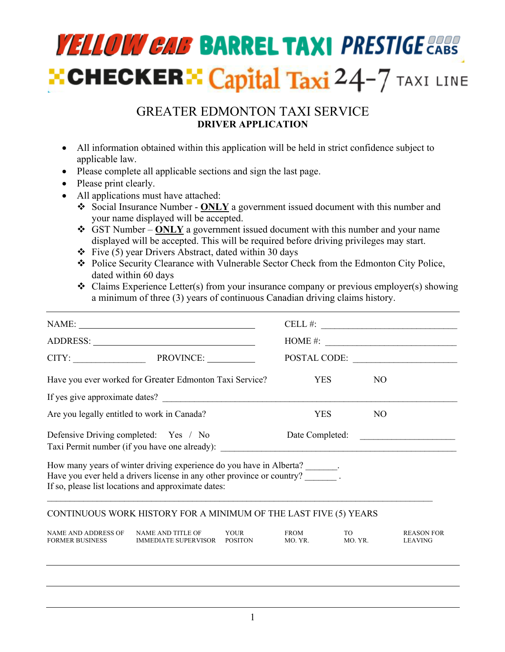# **YELLOW CAB BARREL TAXI PRESTIGE CABS ECHECKER EXPERIE Taxi**  $24-7$  TAXI LINE

## GREATER EDMONTON TAXI SERVICE **DRIVER APPLICATION**

- All information obtained within this application will be held in strict confidence subject to applicable law.
- Please complete all applicable sections and sign the last page.
- Please print clearly.
- All applications must have attached:
	- v Social Insurance Number **ONLY** a government issued document with this number and your name displayed will be accepted.
	- v GST Number **ONLY** a government issued document with this number and your name displayed will be accepted. This will be required before driving privileges may start.
	- $\div$  Five (5) year Drivers Abstract, dated within 30 days
	- \* Police Security Clearance with Vulnerable Sector Check from the Edmonton City Police, dated within 60 days
	- $\triangleleft$  Claims Experience Letter(s) from your insurance company or previous employer(s) showing a minimum of three (3) years of continuous Canadian driving claims history.

| CITY: PROVINCE:<br>Have you ever worked for Greater Edmonton Taxi Service?                                                                                                       | <b>YES</b><br><b>YES</b> | NO.<br>N <sub>O</sub> | CELL #: $\qquad \qquad$<br>HOME #:<br>POSTAL CODE:                                                                                                                                                                |  |  |  |
|----------------------------------------------------------------------------------------------------------------------------------------------------------------------------------|--------------------------|-----------------------|-------------------------------------------------------------------------------------------------------------------------------------------------------------------------------------------------------------------|--|--|--|
|                                                                                                                                                                                  |                          |                       |                                                                                                                                                                                                                   |  |  |  |
|                                                                                                                                                                                  |                          |                       |                                                                                                                                                                                                                   |  |  |  |
|                                                                                                                                                                                  |                          |                       |                                                                                                                                                                                                                   |  |  |  |
|                                                                                                                                                                                  |                          |                       |                                                                                                                                                                                                                   |  |  |  |
|                                                                                                                                                                                  |                          |                       |                                                                                                                                                                                                                   |  |  |  |
| Defensive Driving completed: Yes / No<br>Date Completed:<br><u> 1980 - Jan Stein Stein Stein Stein Stein Stein Stein Stein Stein Stein Stein Stein Stein Stein Stein Stein S</u> |                          |                       |                                                                                                                                                                                                                   |  |  |  |
| If so, please list locations and approximate dates:                                                                                                                              |                          |                       |                                                                                                                                                                                                                   |  |  |  |
|                                                                                                                                                                                  |                          |                       |                                                                                                                                                                                                                   |  |  |  |
| YOUR<br>IMMEDIATE SUPERVISOR POSITON                                                                                                                                             | <b>FROM</b><br>MO. YR.   | TO.<br>MO. YR.        | <b>REASON FOR</b><br><b>LEAVING</b>                                                                                                                                                                               |  |  |  |
|                                                                                                                                                                                  |                          |                       | How many years of winter driving experience do you have in Alberta?<br>Have you ever held a drivers license in any other province or country?<br>CONTINUOUS WORK HISTORY FOR A MINIMUM OF THE LAST FIVE (5) YEARS |  |  |  |